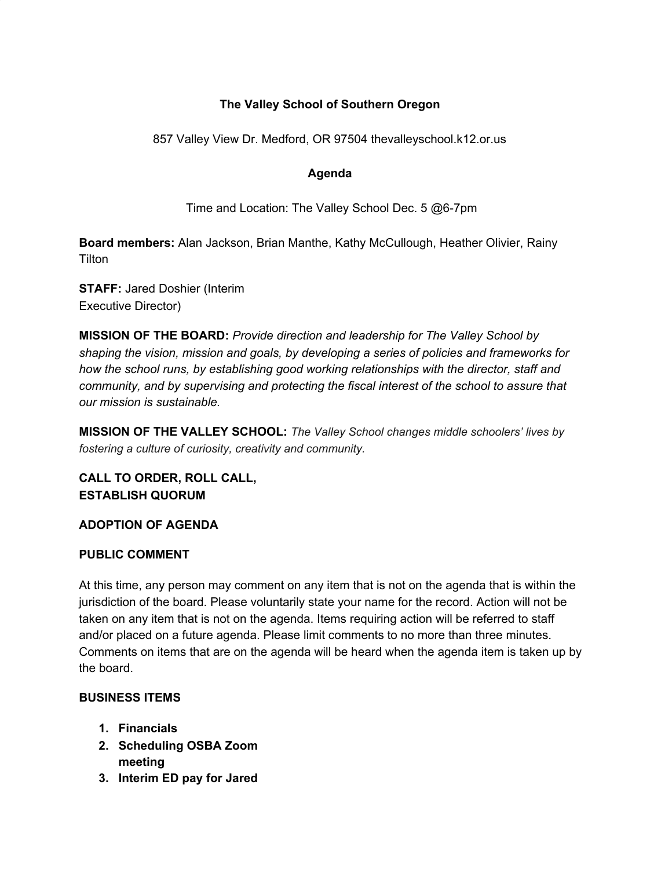# **The Valley School of Southern Oregon**

857 Valley View Dr. Medford, OR 97504 thevalleyschool.k12.or.us

#### **Agenda**

Time and Location: The Valley School Dec. 5 @6-7pm

**Board members:** Alan Jackson, Brian Manthe, Kathy McCullough, Heather Olivier, Rainy **Tilton** 

**STAFF:** Jared Doshier (Interim Executive Director)

**MISSION OF THE BOARD:** *Provide direction and leadership for The Valley School by shaping the vision, mission and goals, by developing a series of policies and frameworks for how the school runs, by establishing good working relationships with the director, staff and community, and by supervising and protecting the fiscal interest of the school to assure that our mission is sustainable.*

**MISSION OF THE VALLEY SCHOOL:** *The Valley School changes middle schoolers' lives by fostering a culture of curiosity, creativity and community.*

**CALL TO ORDER, ROLL CALL, ESTABLISH QUORUM**

## **ADOPTION OF AGENDA**

#### **PUBLIC COMMENT**

At this time, any person may comment on any item that is not on the agenda that is within the jurisdiction of the board. Please voluntarily state your name for the record. Action will not be taken on any item that is not on the agenda. Items requiring action will be referred to staff and/or placed on a future agenda. Please limit comments to no more than three minutes. Comments on items that are on the agenda will be heard when the agenda item is taken up by the board.

## **BUSINESS ITEMS**

- **1. Financials**
- **2. Scheduling OSBA Zoom meeting**
- **3. Interim ED pay for Jared**